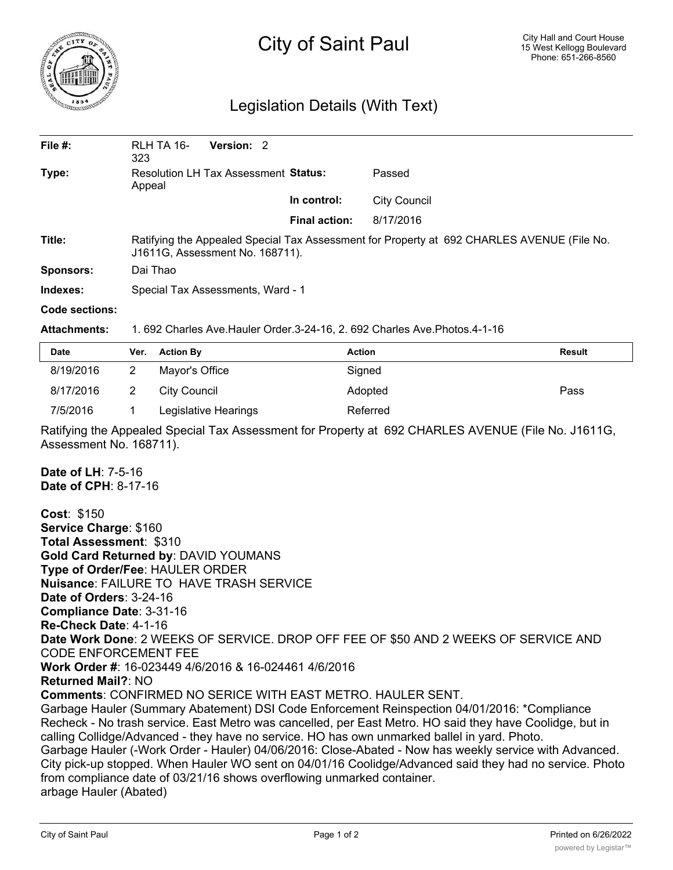

## City of Saint Paul

## Legislation Details (With Text)

| File $#$ :       | RLH TA 16-<br>323                                                                                                             | Version: 2 |                      |                     |  |  |  |
|------------------|-------------------------------------------------------------------------------------------------------------------------------|------------|----------------------|---------------------|--|--|--|
| Type:            | <b>Resolution LH Tax Assessment Status:</b><br>Appeal                                                                         |            |                      | Passed              |  |  |  |
|                  |                                                                                                                               |            | In control:          | <b>City Council</b> |  |  |  |
|                  |                                                                                                                               |            | <b>Final action:</b> | 8/17/2016           |  |  |  |
| Title:           | Ratifying the Appealed Special Tax Assessment for Property at 692 CHARLES AVENUE (File No.<br>J1611G, Assessment No. 168711). |            |                      |                     |  |  |  |
| <b>Sponsors:</b> | Dai Thao                                                                                                                      |            |                      |                     |  |  |  |
| Indexes:         | Special Tax Assessments, Ward - 1                                                                                             |            |                      |                     |  |  |  |
| Code sections:   |                                                                                                                               |            |                      |                     |  |  |  |

**Attachments:** 1. 692 Charles Ave.Hauler Order.3-24-16, 2. 692 Charles Ave.Photos.4-1-16

| <b>Date</b> | Ver. | <b>Action By</b>     | <b>Action</b> | <b>Result</b> |
|-------------|------|----------------------|---------------|---------------|
| 8/19/2016   |      | Mayor's Office       | Signed        |               |
| 8/17/2016   |      | City Council         | Adopted       | Pass          |
| 7/5/2016    |      | Legislative Hearings | Referred      |               |

Ratifying the Appealed Special Tax Assessment for Property at 692 CHARLES AVENUE (File No. J1611G, Assessment No. 168711).

**Date of LH**: 7-5-16 **Date of CPH**: 8-17-16

**Cost**: \$150 **Service Charge**: \$160 **Total Assessment**: \$310 **Gold Card Returned by**: DAVID YOUMANS **Type of Order/Fee**: HAULER ORDER **Nuisance**: FAILURE TO HAVE TRASH SERVICE **Date of Orders**: 3-24-16 **Compliance Date**: 3-31-16 **Re-Check Date**: 4-1-16 **Date Work Done**: 2 WEEKS OF SERVICE. DROP OFF FEE OF \$50 AND 2 WEEKS OF SERVICE AND CODE ENFORCEMENT FEE **Work Order #**: 16-023449 4/6/2016 & 16-024461 4/6/2016 **Returned Mail?**: NO **Comments**: CONFIRMED NO SERICE WITH EAST METRO. HAULER SENT. Garbage Hauler (Summary Abatement) DSI Code Enforcement Reinspection 04/01/2016: \*Compliance Recheck - No trash service. East Metro was cancelled, per East Metro. HO said they have Coolidge, but in calling Collidge/Advanced - they have no service. HO has own unmarked ballel in yard. Photo. Garbage Hauler (-Work Order - Hauler) 04/06/2016: Close-Abated - Now has weekly service with Advanced. City pick-up stopped. When Hauler WO sent on 04/01/16 Coolidge/Advanced said they had no service. Photo from compliance date of 03/21/16 shows overflowing unmarked container. arbage Hauler (Abated)